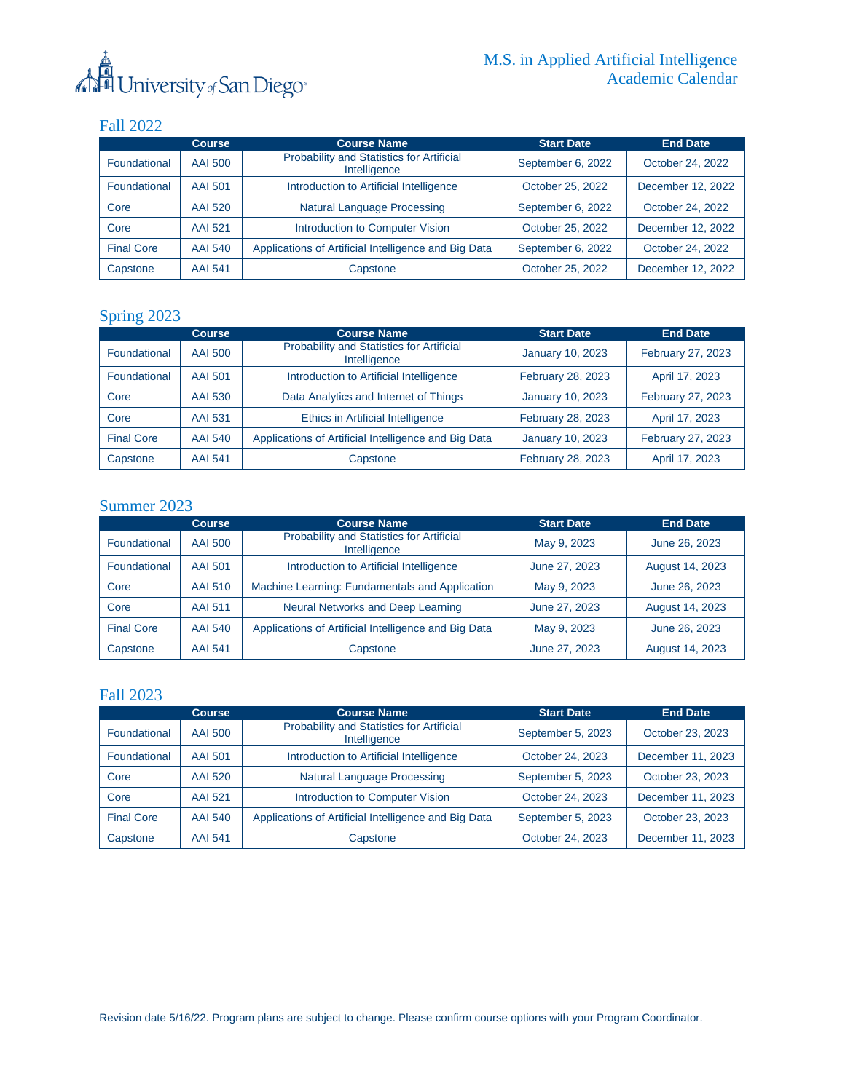

# Fall 2022

|                   | <b>Course</b>  | <b>Course Name</b>                                        | <b>Start Date</b> | <b>End Date</b>   |
|-------------------|----------------|-----------------------------------------------------------|-------------------|-------------------|
| Foundational      | AAI 500        | Probability and Statistics for Artificial<br>Intelligence | September 6, 2022 | October 24, 2022  |
| Foundational      | AAI 501        | Introduction to Artificial Intelligence                   | October 25, 2022  | December 12, 2022 |
| Core              | <b>AAI 520</b> | <b>Natural Language Processing</b>                        | September 6, 2022 | October 24, 2022  |
| Core              | AAI 521        | Introduction to Computer Vision                           | October 25, 2022  | December 12, 2022 |
| <b>Final Core</b> | <b>AAI 540</b> | Applications of Artificial Intelligence and Big Data      | September 6, 2022 | October 24, 2022  |
| Capstone          | <b>AAI 541</b> | Capstone                                                  | October 25, 2022  | December 12, 2022 |

## Spring 2023

|                   | <b>Course</b>  | <b>Course Name</b>                                        | <b>Start Date</b>       | <b>End Date</b>   |
|-------------------|----------------|-----------------------------------------------------------|-------------------------|-------------------|
| Foundational      | <b>AAI 500</b> | Probability and Statistics for Artificial<br>Intelligence | <b>January 10, 2023</b> | February 27, 2023 |
| Foundational      | AAI 501        | Introduction to Artificial Intelligence                   | February 28, 2023       | April 17, 2023    |
| Core              | AAI 530        | Data Analytics and Internet of Things                     | <b>January 10, 2023</b> | February 27, 2023 |
| Core              | AAI 531        | Ethics in Artificial Intelligence                         | February 28, 2023       | April 17, 2023    |
| <b>Final Core</b> | <b>AAI 540</b> | Applications of Artificial Intelligence and Big Data      | <b>January 10, 2023</b> | February 27, 2023 |
| Capstone          | <b>AAI 541</b> | Capstone                                                  | February 28, 2023       | April 17, 2023    |

#### Summer 2023

|                   | Course         | <b>Course Name</b>                                        | <b>Start Date</b> | <b>End Date</b> |
|-------------------|----------------|-----------------------------------------------------------|-------------------|-----------------|
| Foundational      | AAI 500        | Probability and Statistics for Artificial<br>Intelligence | May 9, 2023       | June 26, 2023   |
| Foundational      | AAI 501        | Introduction to Artificial Intelligence                   | June 27, 2023     | August 14, 2023 |
| Core              | AAI 510        | Machine Learning: Fundamentals and Application            | May 9, 2023       | June 26, 2023   |
| Core              | AAI 511        | <b>Neural Networks and Deep Learning</b>                  | June 27, 2023     | August 14, 2023 |
| <b>Final Core</b> | <b>AAI 540</b> | Applications of Artificial Intelligence and Big Data      | May 9, 2023       | June 26, 2023   |
| Capstone          | AAI 541        | Capstone                                                  | June 27, 2023     | August 14, 2023 |

## Fall 2023

|                   | Course.        | <b>Course Name</b>                                        | <b>Start Date</b> | <b>End Date</b>   |
|-------------------|----------------|-----------------------------------------------------------|-------------------|-------------------|
| Foundational      | AAI 500        | Probability and Statistics for Artificial<br>Intelligence | September 5, 2023 | October 23, 2023  |
| Foundational      | AAI 501        | Introduction to Artificial Intelligence                   | October 24, 2023  | December 11, 2023 |
| Core              | AAI 520        | <b>Natural Language Processing</b>                        | September 5, 2023 | October 23, 2023  |
| Core              | <b>AAI 521</b> | <b>Introduction to Computer Vision</b>                    | October 24, 2023  | December 11, 2023 |
| <b>Final Core</b> | <b>AAI 540</b> | Applications of Artificial Intelligence and Big Data      | September 5, 2023 | October 23, 2023  |
| Capstone          | <b>AAI 541</b> | Capstone                                                  | October 24, 2023  | December 11, 2023 |